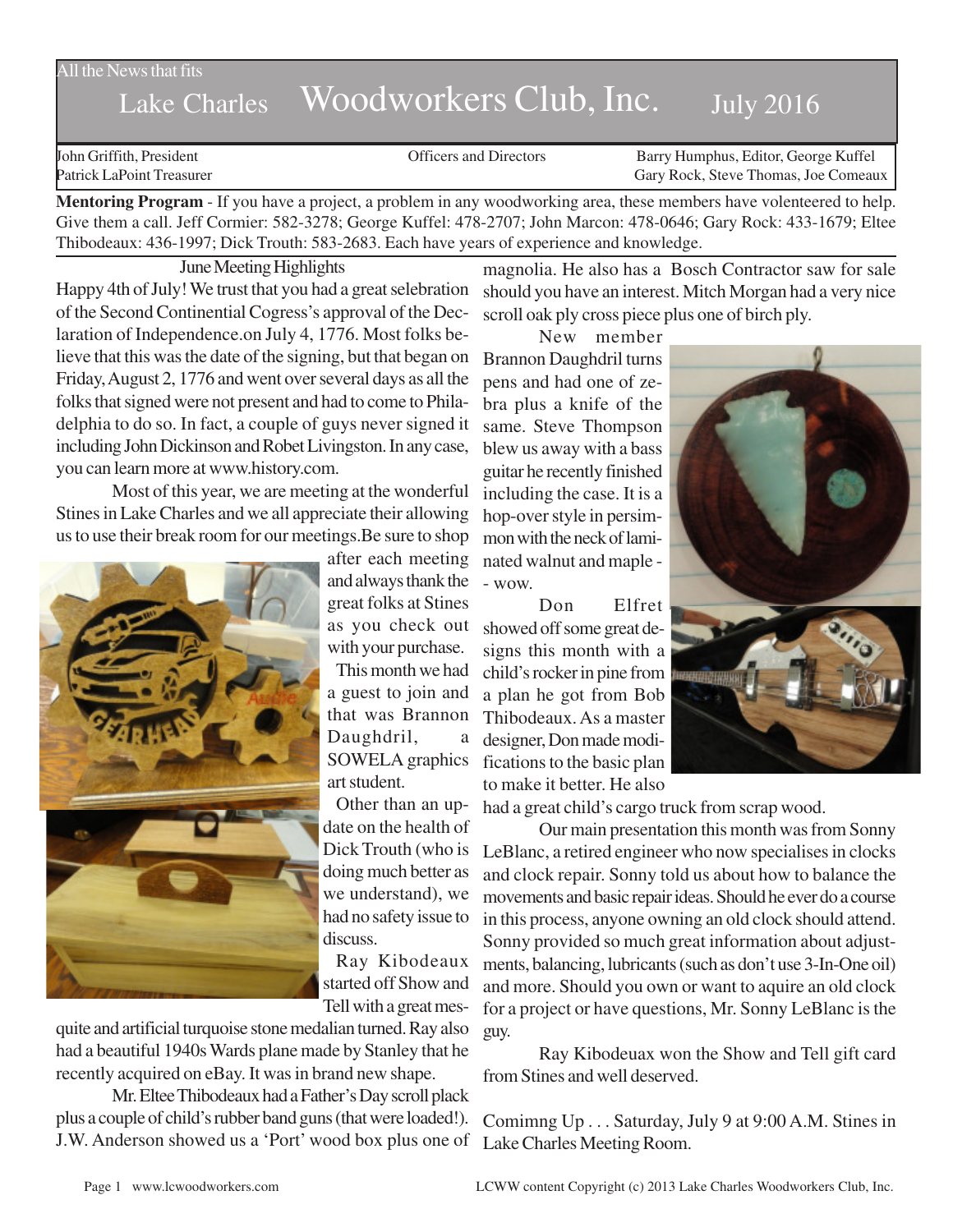#### All the News that fits

# Lake Charles Woodworkers Club, Inc. July 2016

John Griffith, President Officers and Directors Barry Humphus, Editor, George Kuffel Patrick LaPoint Treasurer Gary Rock, Steve Thomas, Joe Comeaux

**Mentoring Program** - If you have a project, a problem in any woodworking area, these members have volenteered to help. Give them a call. Jeff Cormier: 582-3278; George Kuffel: 478-2707; John Marcon: 478-0646; Gary Rock: 433-1679; Eltee Thibodeaux: 436-1997; Dick Trouth: 583-2683. Each have years of experience and knowledge.

June Meeting Highlights

Happy 4th of July! We trust that you had a great selebration of the Second Continential Cogress's approval of the Declaration of Independence.on July 4, 1776. Most folks believe that this was the date of the signing, but that began on Friday, August 2, 1776 and went over several days as all the folks that signed were not present and had to come to Philadelphia to do so. In fact, a couple of guys never signed it including John Dickinson and Robet Livingston. In any case, you can learn more at www.history.com.

Most of this year, we are meeting at the wonderful Stines in Lake Charles and we all appreciate their allowing us to use their break room for our meetings.Be sure to shop



after each meeting and always thank the great folks at Stines as you check out with your purchase.

This month we had a guest to join and that was Brannon Daughdril, a SOWELA graphics art student.

Other than an update on the health of Dick Trouth (who is doing much better as we understand), we had no safety issue to discuss.

Ray Kibodeaux started off Show and Tell with a great mes-

quite and artificial turquoise stone medalian turned. Ray also had a beautiful 1940s Wards plane made by Stanley that he recently acquired on eBay. It was in brand new shape.

Mr. Eltee Thibodeaux had a Father's Day scroll plack plus a couple of child's rubber band guns (that were loaded!). J.W. Anderson showed us a 'Port' wood box plus one of

magnolia. He also has a Bosch Contractor saw for sale should you have an interest. Mitch Morgan had a very nice scroll oak ply cross piece plus one of birch ply.

New member Brannon Daughdril turns pens and had one of zebra plus a knife of the same. Steve Thompson blew us away with a bass guitar he recently finished including the case. It is a hop-over style in persimmon with the neck of laminated walnut and maple - - wow.

Don Elfret showed off some great designs this month with a child's rocker in pine from a plan he got from Bob Thibodeaux. As a master designer, Don made modifications to the basic plan to make it better. He also



had a great child's cargo truck from scrap wood.

Our main presentation this month was from Sonny LeBlanc, a retired engineer who now specialises in clocks and clock repair. Sonny told us about how to balance the movements and basic repair ideas. Should he ever do a course in this process, anyone owning an old clock should attend. Sonny provided so much great information about adjustments, balancing, lubricants (such as don't use 3-In-One oil) and more. Should you own or want to aquire an old clock for a project or have questions, Mr. Sonny LeBlanc is the guy.

Ray Kibodeuax won the Show and Tell gift card from Stines and well deserved.

Comimng Up . . . Saturday, July 9 at 9:00 A.M. Stines in Lake Charles Meeting Room.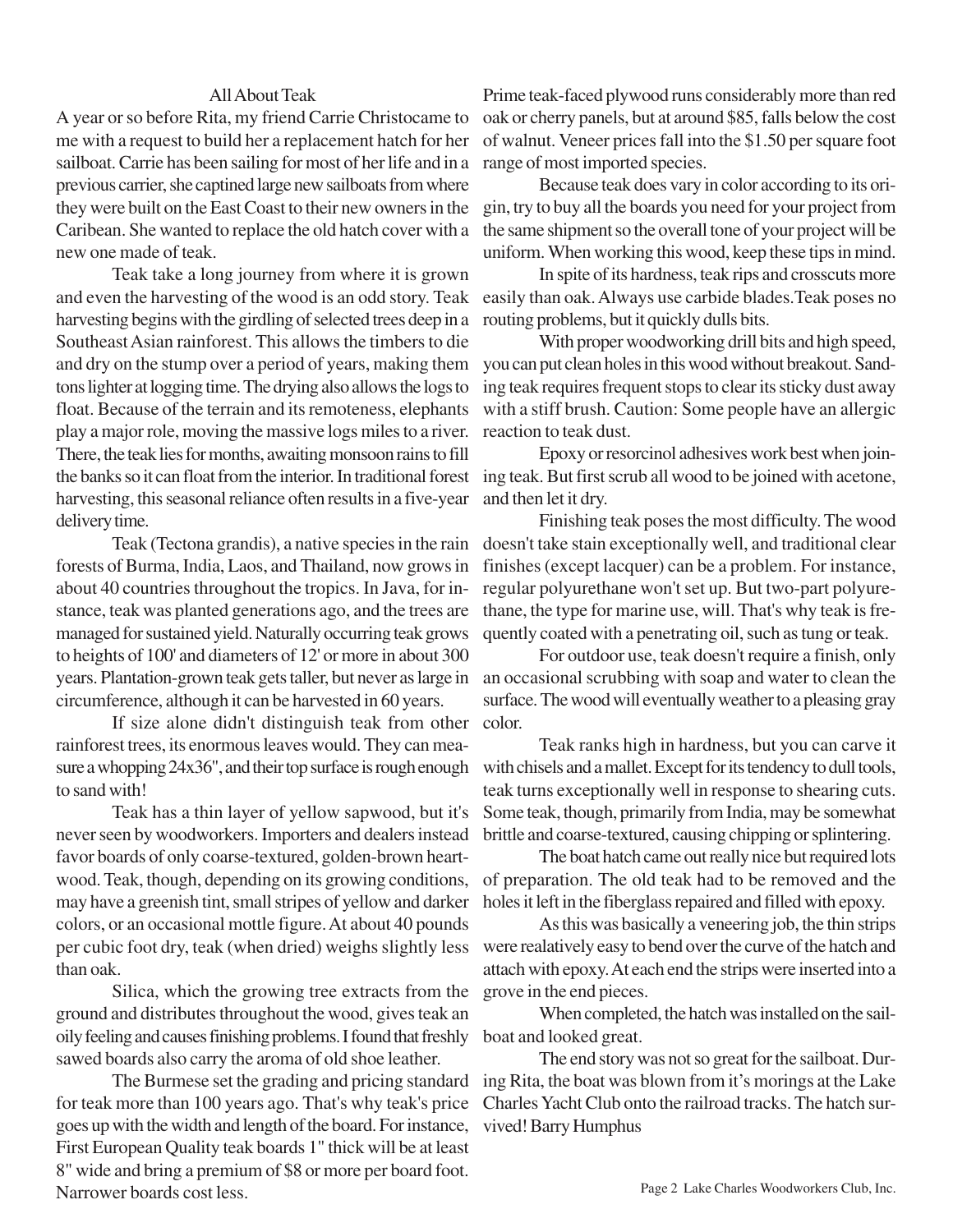## All About Teak

A year or so before Rita, my friend Carrie Christocame to me with a request to build her a replacement hatch for her sailboat. Carrie has been sailing for most of her life and in a previous carrier, she captined large new sailboats from where they were built on the East Coast to their new owners in the Caribean. She wanted to replace the old hatch cover with a new one made of teak.

Teak take a long journey from where it is grown and even the harvesting of the wood is an odd story. Teak harvesting begins with the girdling of selected trees deep in a Southeast Asian rainforest. This allows the timbers to die and dry on the stump over a period of years, making them tons lighter at logging time. The drying also allows the logs to float. Because of the terrain and its remoteness, elephants play a major role, moving the massive logs miles to a river. There, the teak lies for months, awaiting monsoon rains to fill the banks so it can float from the interior. In traditional forest harvesting, this seasonal reliance often results in a five-year delivery time.

Teak (Tectona grandis), a native species in the rain forests of Burma, India, Laos, and Thailand, now grows in about 40 countries throughout the tropics. In Java, for instance, teak was planted generations ago, and the trees are managed for sustained yield. Naturally occurring teak grows to heights of 100' and diameters of 12' or more in about 300 years. Plantation-grown teak gets taller, but never as large in circumference, although it can be harvested in 60 years.

If size alone didn't distinguish teak from other rainforest trees, its enormous leaves would. They can measure a whopping 24x36", and their top surface is rough enough to sand with!

Teak has a thin layer of yellow sapwood, but it's never seen by woodworkers. Importers and dealers instead favor boards of only coarse-textured, golden-brown heartwood. Teak, though, depending on its growing conditions, may have a greenish tint, small stripes of yellow and darker colors, or an occasional mottle figure. At about 40 pounds per cubic foot dry, teak (when dried) weighs slightly less than oak.

Silica, which the growing tree extracts from the ground and distributes throughout the wood, gives teak an oily feeling and causes finishing problems. I found that freshly sawed boards also carry the aroma of old shoe leather.

The Burmese set the grading and pricing standard for teak more than 100 years ago. That's why teak's price goes up with the width and length of the board. For instance, First European Quality teak boards 1" thick will be at least 8" wide and bring a premium of \$8 or more per board foot. Narrower boards cost less.

Prime teak-faced plywood runs considerably more than red oak or cherry panels, but at around \$85, falls below the cost of walnut. Veneer prices fall into the \$1.50 per square foot range of most imported species.

Because teak does vary in color according to its origin, try to buy all the boards you need for your project from the same shipment so the overall tone of your project will be uniform. When working this wood, keep these tips in mind.

In spite of its hardness, teak rips and crosscuts more easily than oak. Always use carbide blades.Teak poses no routing problems, but it quickly dulls bits.

With proper woodworking drill bits and high speed, you can put clean holes in this wood without breakout. Sanding teak requires frequent stops to clear its sticky dust away with a stiff brush. Caution: Some people have an allergic reaction to teak dust.

Epoxy or resorcinol adhesives work best when joining teak. But first scrub all wood to be joined with acetone, and then let it dry.

Finishing teak poses the most difficulty. The wood doesn't take stain exceptionally well, and traditional clear finishes (except lacquer) can be a problem. For instance, regular polyurethane won't set up. But two-part polyurethane, the type for marine use, will. That's why teak is frequently coated with a penetrating oil, such as tung or teak.

For outdoor use, teak doesn't require a finish, only an occasional scrubbing with soap and water to clean the surface. The wood will eventually weather to a pleasing gray color.

Teak ranks high in hardness, but you can carve it with chisels and a mallet. Except for its tendency to dull tools, teak turns exceptionally well in response to shearing cuts. Some teak, though, primarily from India, may be somewhat brittle and coarse-textured, causing chipping or splintering.

The boat hatch came out really nice but required lots of preparation. The old teak had to be removed and the holes it left in the fiberglass repaired and filled with epoxy.

As this was basically a veneering job, the thin strips were realatively easy to bend over the curve of the hatch and attach with epoxy. At each end the strips were inserted into a grove in the end pieces.

When completed, the hatch was installed on the sailboat and looked great.

The end story was not so great for the sailboat. During Rita, the boat was blown from it's morings at the Lake Charles Yacht Club onto the railroad tracks. The hatch survived! Barry Humphus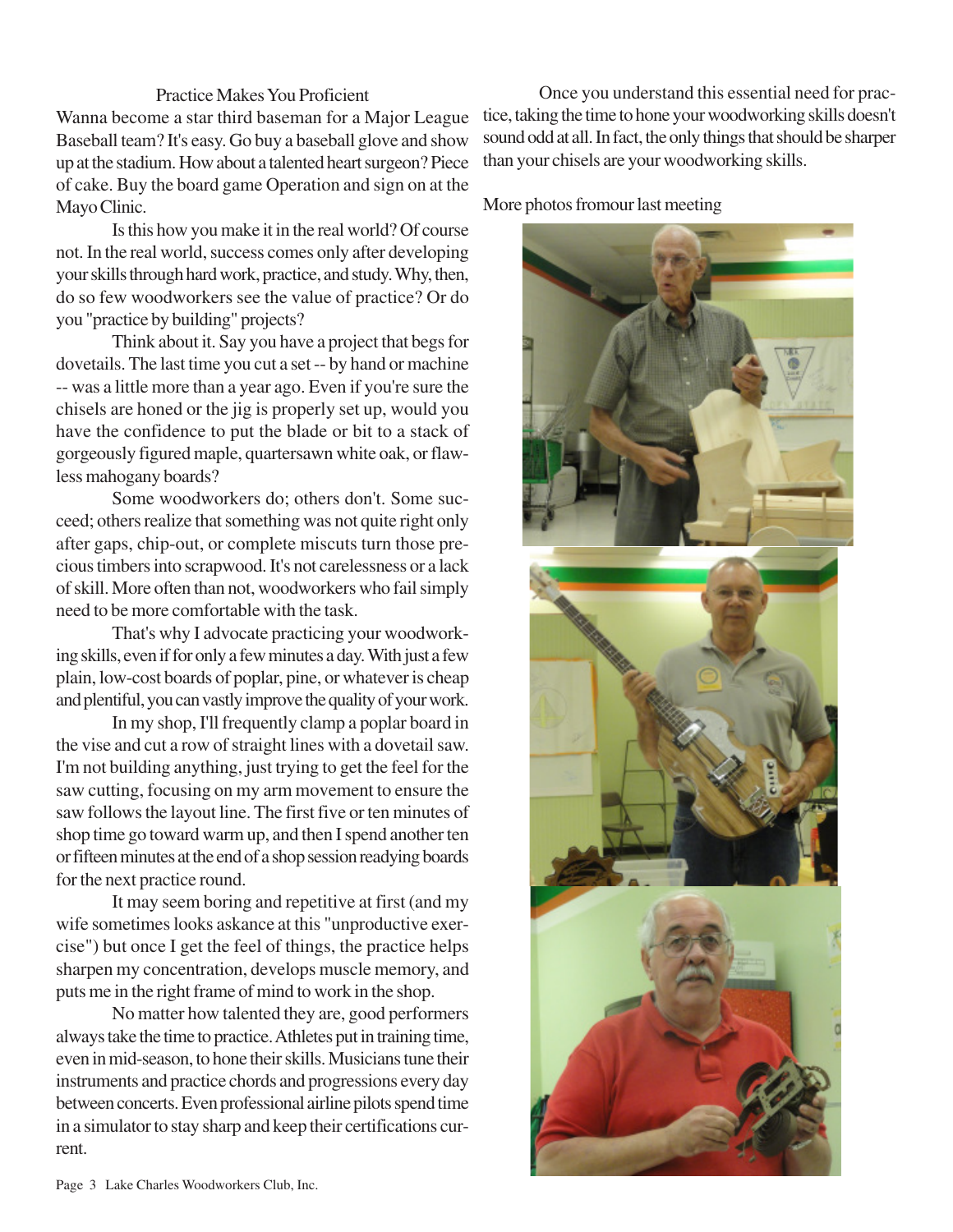### Practice Makes You Proficient

Wanna become a star third baseman for a Major League Baseball team? It's easy. Go buy a baseball glove and show up at the stadium. How about a talented heart surgeon? Piece of cake. Buy the board game Operation and sign on at the Mayo Clinic.

Is this how you make it in the real world? Of course not. In the real world, success comes only after developing your skills through hard work, practice, and study. Why, then, do so few woodworkers see the value of practice? Or do you "practice by building" projects?

Think about it. Say you have a project that begs for dovetails. The last time you cut a set -- by hand or machine -- was a little more than a year ago. Even if you're sure the chisels are honed or the jig is properly set up, would you have the confidence to put the blade or bit to a stack of gorgeously figured maple, quartersawn white oak, or flawless mahogany boards?

Some woodworkers do; others don't. Some succeed; others realize that something was not quite right only after gaps, chip-out, or complete miscuts turn those precious timbers into scrapwood. It's not carelessness or a lack of skill. More often than not, woodworkers who fail simply need to be more comfortable with the task.

That's why I advocate practicing your woodworking skills, even if for only a few minutes a day. With just a few plain, low-cost boards of poplar, pine, or whatever is cheap and plentiful, you can vastly improve the quality of your work.

In my shop, I'll frequently clamp a poplar board in the vise and cut a row of straight lines with a dovetail saw. I'm not building anything, just trying to get the feel for the saw cutting, focusing on my arm movement to ensure the saw follows the layout line. The first five or ten minutes of shop time go toward warm up, and then I spend another ten or fifteen minutes at the end of a shop session readying boards for the next practice round.

It may seem boring and repetitive at first (and my wife sometimes looks askance at this "unproductive exercise") but once I get the feel of things, the practice helps sharpen my concentration, develops muscle memory, and puts me in the right frame of mind to work in the shop.

No matter how talented they are, good performers always take the time to practice. Athletes put in training time, even in mid-season, to hone their skills. Musicians tune their instruments and practice chords and progressions every day between concerts. Even professional airline pilots spend time in a simulator to stay sharp and keep their certifications current.

Once you understand this essential need for practice, taking the time to hone your woodworking skills doesn't sound odd at all. In fact, the only things that should be sharper than your chisels are your woodworking skills.

More photos fromour last meeting